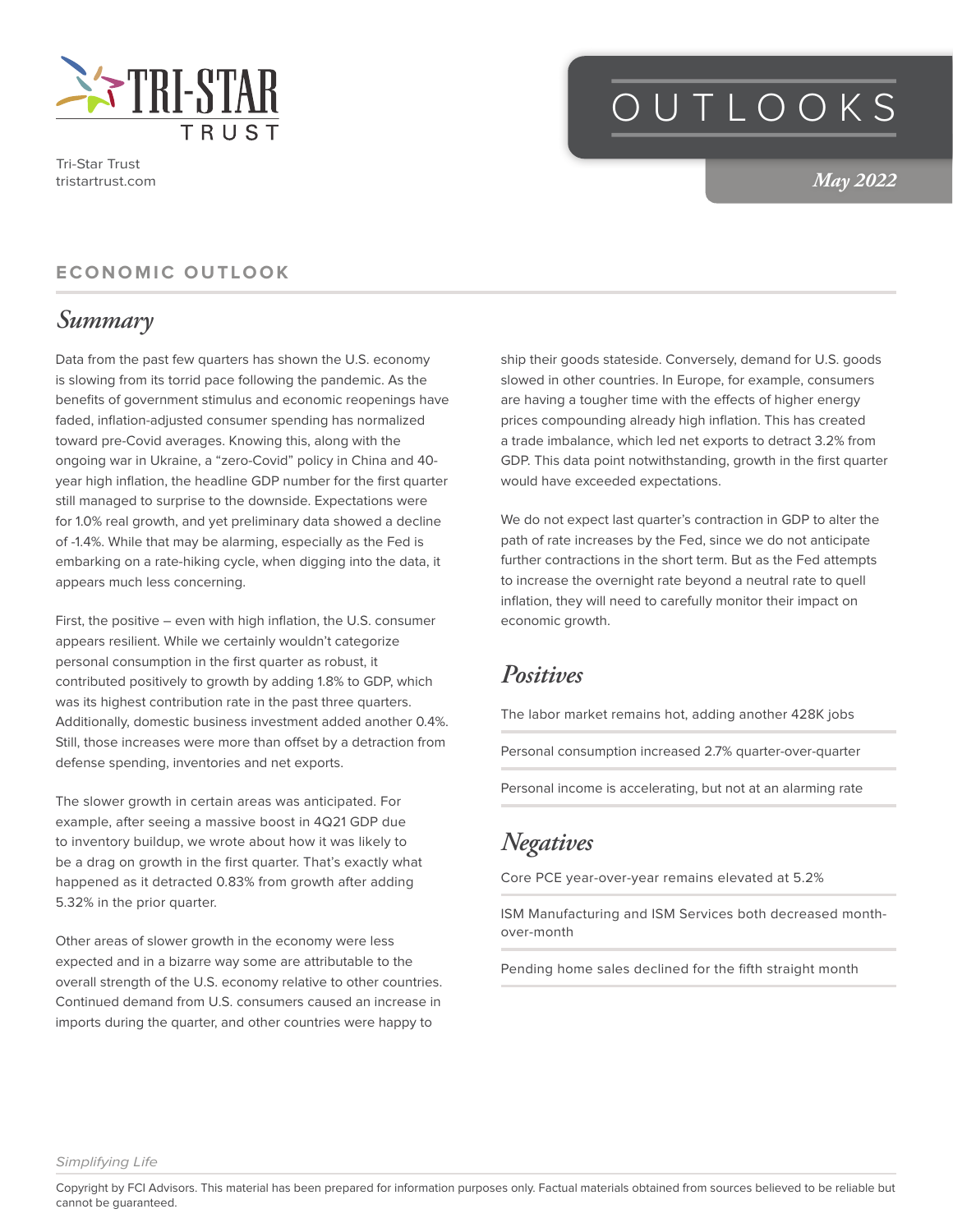

Tri-Star Trust tristartrust.com

## OUTLOOKS

*May 2022*

#### **ECONOMIC OUTLOOK**

#### *Summary*

Data from the past few quarters has shown the U.S. economy is slowing from its torrid pace following the pandemic. As the benefits of government stimulus and economic reopenings have faded, inflation-adjusted consumer spending has normalized toward pre-Covid averages. Knowing this, along with the ongoing war in Ukraine, a "zero-Covid" policy in China and 40 year high inflation, the headline GDP number for the first quarter still managed to surprise to the downside. Expectations were for 1.0% real growth, and yet preliminary data showed a decline of -1.4%. While that may be alarming, especially as the Fed is embarking on a rate-hiking cycle, when digging into the data, it appears much less concerning.

First, the positive – even with high inflation, the U.S. consumer appears resilient. While we certainly wouldn't categorize personal consumption in the first quarter as robust, it contributed positively to growth by adding 1.8% to GDP, which was its highest contribution rate in the past three quarters. Additionally, domestic business investment added another 0.4%. Still, those increases were more than offset by a detraction from defense spending, inventories and net exports.

The slower growth in certain areas was anticipated. For example, after seeing a massive boost in 4Q21 GDP due to inventory buildup, we wrote about how it was likely to be a drag on growth in the first quarter. That's exactly what happened as it detracted 0.83% from growth after adding 5.32% in the prior quarter.

Other areas of slower growth in the economy were less expected and in a bizarre way some are attributable to the overall strength of the U.S. economy relative to other countries. Continued demand from U.S. consumers caused an increase in imports during the quarter, and other countries were happy to

ship their goods stateside. Conversely, demand for U.S. goods slowed in other countries. In Europe, for example, consumers are having a tougher time with the effects of higher energy prices compounding already high inflation. This has created a trade imbalance, which led net exports to detract 3.2% from GDP. This data point notwithstanding, growth in the first quarter would have exceeded expectations.

We do not expect last quarter's contraction in GDP to alter the path of rate increases by the Fed, since we do not anticipate further contractions in the short term. But as the Fed attempts to increase the overnight rate beyond a neutral rate to quell inflation, they will need to carefully monitor their impact on economic growth.

#### *Positives*

The labor market remains hot, adding another 428K jobs

Personal consumption increased 2.7% quarter-over-quarter

Personal income is accelerating, but not at an alarming rate

### *Negatives*

Core PCE year-over-year remains elevated at 5.2%

ISM Manufacturing and ISM Services both decreased monthover-month

Pending home sales declined for the fifth straight month

*Simplifying Life*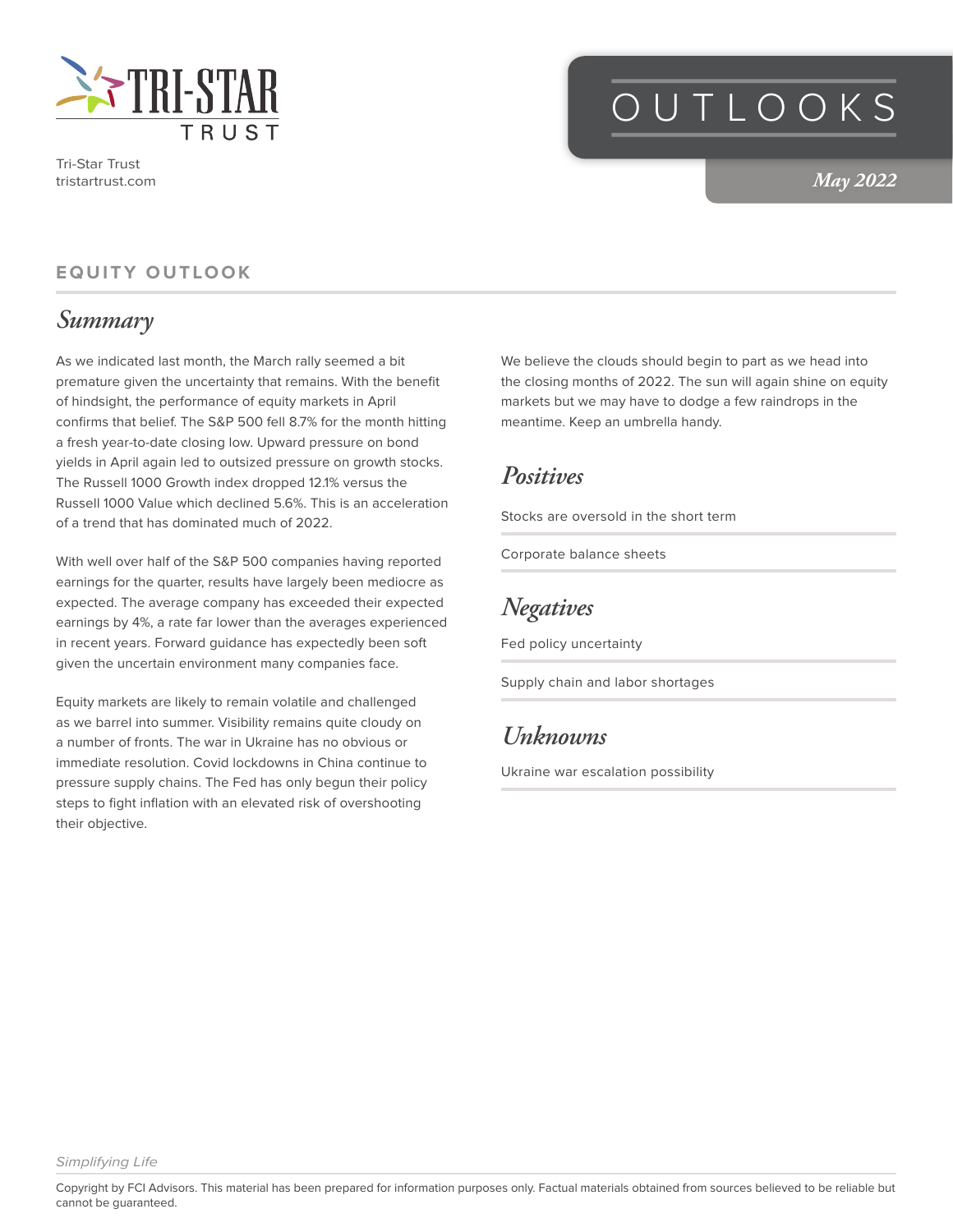

Tri-Star Trust tristartrust.com

# OUTLOOKS

*May 2022*

#### **EQUITY OUTLOOK**

#### *Summary*

As we indicated last month, the March rally seemed a bit premature given the uncertainty that remains. With the benefit of hindsight, the performance of equity markets in April confirms that belief. The S&P 500 fell 8.7% for the month hitting a fresh year-to-date closing low. Upward pressure on bond yields in April again led to outsized pressure on growth stocks. The Russell 1000 Growth index dropped 12.1% versus the Russell 1000 Value which declined 5.6%. This is an acceleration of a trend that has dominated much of 2022.

With well over half of the S&P 500 companies having reported earnings for the quarter, results have largely been mediocre as expected. The average company has exceeded their expected earnings by 4%, a rate far lower than the averages experienced in recent years. Forward guidance has expectedly been soft given the uncertain environment many companies face.

Equity markets are likely to remain volatile and challenged as we barrel into summer. Visibility remains quite cloudy on a number of fronts. The war in Ukraine has no obvious or immediate resolution. Covid lockdowns in China continue to pressure supply chains. The Fed has only begun their policy steps to fight inflation with an elevated risk of overshooting their objective.

We believe the clouds should begin to part as we head into the closing months of 2022. The sun will again shine on equity markets but we may have to dodge a few raindrops in the meantime. Keep an umbrella handy.

#### *Positives*

Stocks are oversold in the short term

Corporate balance sheets

#### *Negatives*

Fed policy uncertainty

Supply chain and labor shortages

#### *Unknowns*

Ukraine war escalation possibility

*Simplifying Life*

Copyright by FCI Advisors. This material has been prepared for information purposes only. Factual materials obtained from sources believed to be reliable but cannot be guaranteed.